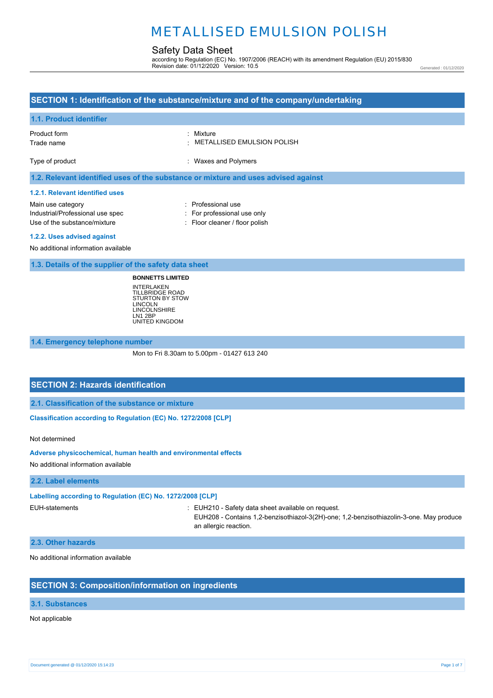# METALLISED EMULSION POLISH

## Safety Data Sheet

according to Regulation (EC) No. 1907/2006 (REACH) with its amendment Regulation (EU) 2015/830 Revision date: 01/12/2020 Version: 10.5

Generated : 01/12/2020

## **SECTION 1: Identification of the substance/mixture and of the company/undertaking 1.1. Product identifier** Product form Trade name Type of product : Mixture : METALLISED EMULSION POLISH : Waxes and Polymers **1.2. Relevant identified uses of the substance or mixture and uses advised against 1.2.1. Relevant identified uses** Main use category **intervalled Main use category intervalled Professional use** Industrial/Professional use spec : For professional use only Use of the substance/mixture : Floor cleaner / floor polish **1.2.2. Uses advised against** No additional information available **1.3. Details of the supplier of the safety data sheet BONNETTS LIMITED** INTERLAKEN TILLBRIDGE ROAD STURTON BY STOW LINCOLN LINCOLNSHIRE LN1 2BP UNITED KINGDOM

**1.4. Emergency telephone number**

Mon to Fri 8.30am to 5.00pm - 01427 613 240

### **SECTION 2: Hazards identification**

**2.1. Classification of the substance or mixture**

**Classification according to Regulation (EC) No. 1272/2008 [CLP]** 

Not determined

#### **Adverse physicochemical, human health and environmental effects**

No additional information available

#### **2.2. Label elements**

#### **Labelling according to Regulation (EC) No. 1272/2008 [CLP]**

EUH-statements : EUH210 - Safety data sheet available on request.

EUH208 - Contains 1,2-benzisothiazol-3(2H)-one; 1,2-benzisothiazolin-3-one. May produce an allergic reaction.

#### **2.3. Other hazards**

No additional information available

### **SECTION 3: Composition/information on ingredients**

### **3.1. Substances**

Not applicable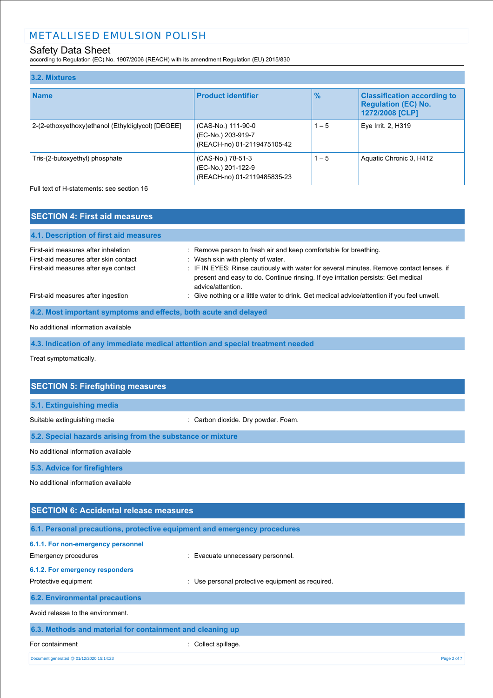## Safety Data Sheet

according to Regulation (EC) No. 1907/2006 (REACH) with its amendment Regulation (EU) 2015/830

| 3.2. Mixtures                                     |                                                                         |               |                                                                                     |
|---------------------------------------------------|-------------------------------------------------------------------------|---------------|-------------------------------------------------------------------------------------|
| <b>Name</b>                                       | <b>Product identifier</b>                                               | $\frac{1}{2}$ | <b>Classification according to</b><br><b>Regulation (EC) No.</b><br>1272/2008 [CLP] |
| 2-(2-ethoxyethoxy)ethanol (Ethyldiglycol) [DEGEE] | (CAS-No.) 111-90-0<br>(EC-No.) 203-919-7<br>(REACH-no) 01-2119475105-42 | $1 - 5$       | Eye Irrit. 2, H319                                                                  |
| Tris-(2-butoxyethyl) phosphate                    | (CAS-No.) 78-51-3<br>(EC-No.) 201-122-9<br>(REACH-no) 01-2119485835-23  | $1 - 5$       | Aquatic Chronic 3, H412                                                             |

Full text of H-statements: see section 16

| <b>SECTION 4: First aid measures</b>                             |                                                                                                                                                                                                    |
|------------------------------------------------------------------|----------------------------------------------------------------------------------------------------------------------------------------------------------------------------------------------------|
| 4.1. Description of first aid measures                           |                                                                                                                                                                                                    |
| First-aid measures after inhalation                              | : Remove person to fresh air and keep comfortable for breathing.                                                                                                                                   |
| First-aid measures after skin contact                            | : Wash skin with plenty of water.                                                                                                                                                                  |
| First-aid measures after eye contact                             | : IF IN EYES: Rinse cautiously with water for several minutes. Remove contact lenses, if<br>present and easy to do. Continue rinsing. If eye irritation persists: Get medical<br>advice/attention. |
| First-aid measures after ingestion                               | : Give nothing or a little water to drink. Get medical advice/attention if you feel unwell.                                                                                                        |
| 4.2. Most important symptoms and effects, both acute and delayed |                                                                                                                                                                                                    |
|                                                                  |                                                                                                                                                                                                    |

### No additional information available

**4.3. Indication of any immediate medical attention and special treatment needed**

Treat symptomatically.

| <b>SECTION 5: Firefighting measures</b>                                  |                                                  |
|--------------------------------------------------------------------------|--------------------------------------------------|
|                                                                          |                                                  |
| 5.1. Extinguishing media                                                 |                                                  |
| Suitable extinguishing media                                             | : Carbon dioxide. Dry powder. Foam.              |
| 5.2. Special hazards arising from the substance or mixture               |                                                  |
| No additional information available                                      |                                                  |
| 5.3. Advice for firefighters                                             |                                                  |
| No additional information available                                      |                                                  |
|                                                                          |                                                  |
| <b>SECTION 6: Accidental release measures</b>                            |                                                  |
| 6.1. Personal precautions, protective equipment and emergency procedures |                                                  |
| 6.1.1. For non-emergency personnel                                       |                                                  |
| Emergency procedures                                                     | Evacuate unnecessary personnel.                  |
| 6.1.2. For emergency responders                                          |                                                  |
| Protective equipment                                                     | : Use personal protective equipment as required. |

## **6.2. Environmental precautions**

Avoid release to the environment.

| 6.3. Methods and material for containment and cleaning up |                     |             |
|-----------------------------------------------------------|---------------------|-------------|
| For containment                                           | : Collect spillage. |             |
| Document generated @ 01/12/2020 15:14:23                  |                     | Page 2 of 7 |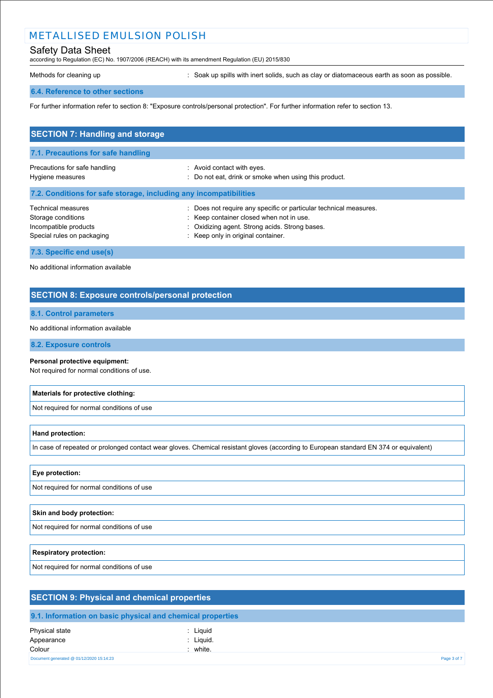## METALLISED EMULSION POLISH

### Safety Data Sheet

according to Regulation (EC) No. 1907/2006 (REACH) with its amendment Regulation (EU) 2015/830

Methods for cleaning up **interpret in the spills with inert solids**, such as clay or diatomaceous earth as soon as possible.

#### **6.4. Reference to other sections**

For further information refer to section 8: "Exposure controls/personal protection". For further information refer to section 13.

| <b>SECTION 7: Handling and storage</b>                                                                 |                                                                                                                                                                                                       |  |  |
|--------------------------------------------------------------------------------------------------------|-------------------------------------------------------------------------------------------------------------------------------------------------------------------------------------------------------|--|--|
| 7.1. Precautions for safe handling                                                                     |                                                                                                                                                                                                       |  |  |
| Precautions for safe handling<br>Hygiene measures                                                      | : Avoid contact with eyes.<br>: Do not eat, drink or smoke when using this product.                                                                                                                   |  |  |
| 7.2. Conditions for safe storage, including any incompatibilities                                      |                                                                                                                                                                                                       |  |  |
| <b>Technical measures</b><br>Storage conditions<br>Incompatible products<br>Special rules on packaging | : Does not require any specific or particular technical measures.<br>: Keep container closed when not in use.<br>: Oxidizing agent. Strong acids. Strong bases.<br>: Keep only in original container. |  |  |
| 7.3. Specific end use(s)                                                                               |                                                                                                                                                                                                       |  |  |

No additional information available

### **SECTION 8: Exposure controls/personal protection**

### **8.1. Control parameters**

No additional information available

#### **8.2. Exposure controls**

#### **Personal protective equipment:**

Not required for normal conditions of use.

#### **Materials for protective clothing:**

Not required for normal conditions of use

#### **Hand protection:**

In case of repeated or prolonged contact wear gloves. Chemical resistant gloves (according to European standard EN 374 or equivalent)

### **Eye protection:**

Not required for normal conditions of use

#### **Skin and body protection:**

Not required for normal conditions of use

#### **Respiratory protection:**

Not required for normal conditions of use

| <b>SECTION 9: Physical and chemical properties</b> |                                                            |             |
|----------------------------------------------------|------------------------------------------------------------|-------------|
|                                                    | 9.1. Information on basic physical and chemical properties |             |
| Physical state                                     | Liquid                                                     |             |
| Appearance                                         | : Liguid.                                                  |             |
| Colour                                             | : white.                                                   |             |
| Document generated @ 01/12/2020 15:14:23           |                                                            | Page 3 of 7 |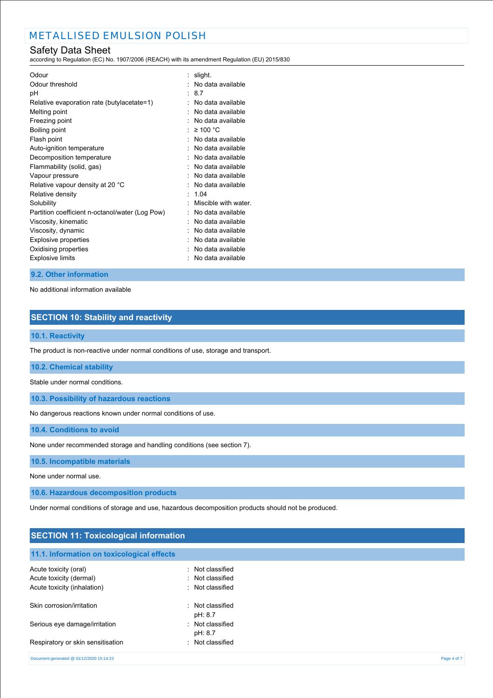## Safety Data Sheet

according to Regulation (EC) No. 1907/2006 (REACH) with its amendment Regulation (EU) 2015/830

| Odour                                           | : slight.            |
|-------------------------------------------------|----------------------|
| Odour threshold                                 | : No data available  |
| рH                                              | 8.7                  |
| Relative evaporation rate (butylacetate=1)      | No data available    |
| Melting point                                   | No data available    |
| Freezing point                                  | No data available    |
| Boiling point                                   | $\geq$ 100 °C        |
| Flash point                                     | No data available    |
| Auto-ignition temperature                       | No data available    |
| Decomposition temperature                       | No data available    |
| Flammability (solid, gas)                       | No data available    |
| Vapour pressure                                 | No data available    |
| Relative vapour density at 20 °C                | No data available    |
| Relative density                                | $\cdot$ 1 04         |
| Solubility                                      | Miscible with water. |
| Partition coefficient n-octanol/water (Log Pow) | No data available    |
| Viscosity, kinematic                            | No data available    |
| Viscosity, dynamic                              | No data available    |
| Explosive properties                            | No data available    |
| Oxidising properties                            | No data available    |
| Explosive limits                                | No data available    |
|                                                 |                      |

#### **9.2. Other information**

No additional information available

## **SECTION 10: Stability and reactivity**

#### **10.1. Reactivity**

The product is non-reactive under normal conditions of use, storage and transport.

### **10.2. Chemical stability**

Stable under normal conditions.

**10.3. Possibility of hazardous reactions**

No dangerous reactions known under normal conditions of use.

**10.4. Conditions to avoid**

None under recommended storage and handling conditions (see section 7).

#### **10.5. Incompatible materials**

None under normal use.

**10.6. Hazardous decomposition products**

Under normal conditions of storage and use, hazardous decomposition products should not be produced.

### **SECTION 11: Toxicological information**

## **11.1. Information on toxicological effects**

| Acute toxicity (oral)                    | : Not classified            |             |
|------------------------------------------|-----------------------------|-------------|
| Acute toxicity (dermal)                  | : Not classified            |             |
| Acute toxicity (inhalation)              | : Not classified            |             |
| Skin corrosion/irritation                | : Not classified<br>pH: 8.7 |             |
| Serious eye damage/irritation            | : Not classified<br>pH: 8.7 |             |
| Respiratory or skin sensitisation        | : Not classified            |             |
| Document generated @ 01/12/2020 15:14:23 |                             | Page 4 of 7 |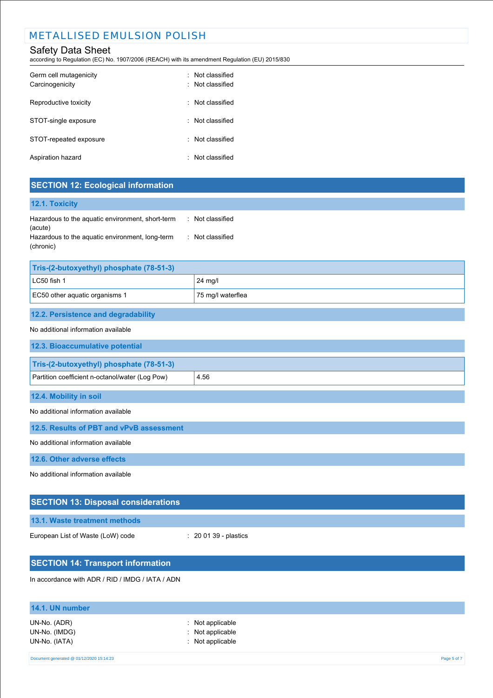## METALLISED EMULSION POLISH

## Safety Data Sheet

according to Regulation (EC) No. 1907/2006 (REACH) with its amendment Regulation (EU) 2015/830

| Germ cell mutagenicity<br>Carcinogenicity | Not classified<br>· Not classified |
|-------------------------------------------|------------------------------------|
| Reproductive toxicity                     | : Not classified                   |
| STOT-single exposure                      | : Not classified                   |
| STOT-repeated exposure                    | : Not classified                   |
| Aspiration hazard                         | Not classified                     |

## **SECTION 12: Ecological information**

| <b>12.1. Toxicity</b>                                        |                  |
|--------------------------------------------------------------|------------------|
| Hazardous to the aquatic environment, short-term<br>(acute)  | : Not classified |
| Hazardous to the aquatic environment, long-term<br>(chronic) | : Not classified |

| Tris-(2-butoxyethyl) phosphate (78-51-3)            |         |  |
|-----------------------------------------------------|---------|--|
| LC50 fish 1                                         | 24 mg/l |  |
| EC50 other aquatic organisms 1<br>75 mg/l waterflea |         |  |
|                                                     |         |  |

## **12.2. Persistence and degradability**

## No additional information available

| <u>NO additional information available</u>              |  |  |
|---------------------------------------------------------|--|--|
| 12.3. Bioaccumulative potential                         |  |  |
| Tris-(2-butoxyethyl) phosphate (78-51-3)                |  |  |
| Partition coefficient n-octanol/water (Log Pow)<br>4.56 |  |  |
| 12.4. Mobility in soil                                  |  |  |

No additional information available

**12.5. Results of PBT and vPvB assessment**

No additional information available

**12.6. Other adverse effects**

No additional information available

| <b>SECTION 13: Disposal considerations</b>       |                                  |  |  |
|--------------------------------------------------|----------------------------------|--|--|
| 13.1. Waste treatment methods                    |                                  |  |  |
| European List of Waste (LoW) code                | $\therefore$ 20 01 39 - plastics |  |  |
| <b>SECTION 14: Transport information</b>         |                                  |  |  |
| In accordance with ADR / RID / IMDG / IATA / ADN |                                  |  |  |

| 14.1. UN number                                |                                                            |             |
|------------------------------------------------|------------------------------------------------------------|-------------|
| UN-No. (ADR)<br>UN-No. (IMDG)<br>UN-No. (IATA) | $:$ Not applicable<br>: Not applicable<br>: Not applicable |             |
| Document generated @ 01/12/2020 15:14:23       |                                                            | Page 5 of 7 |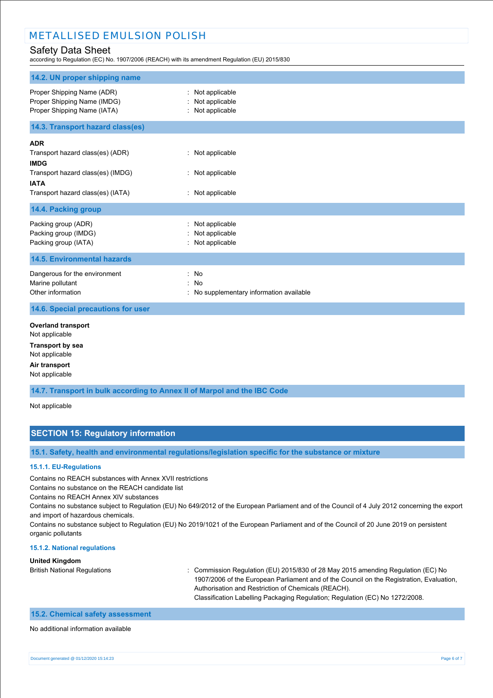| <b>METALLISED EMULSION POLISH</b>                                                                                                                      |                                                          |  |  |
|--------------------------------------------------------------------------------------------------------------------------------------------------------|----------------------------------------------------------|--|--|
| <b>Safety Data Sheet</b><br>according to Regulation (EC) No. 1907/2006 (REACH) with its amendment Regulation (EU) 2015/830                             |                                                          |  |  |
| 14.2. UN proper shipping name                                                                                                                          |                                                          |  |  |
| Proper Shipping Name (ADR)<br>Proper Shipping Name (IMDG)<br>Proper Shipping Name (IATA)                                                               | : Not applicable<br>Not applicable<br>: Not applicable   |  |  |
| 14.3. Transport hazard class(es)                                                                                                                       |                                                          |  |  |
| <b>ADR</b><br>Transport hazard class(es) (ADR)<br><b>IMDG</b><br>Transport hazard class(es) (IMDG)<br><b>IATA</b><br>Transport hazard class(es) (IATA) | : Not applicable<br>: Not applicable<br>: Not applicable |  |  |
| 14.4. Packing group                                                                                                                                    |                                                          |  |  |
| Packing group (ADR)<br>Packing group (IMDG)<br>Packing group (IATA)                                                                                    | Not applicable<br>Not applicable<br>: Not applicable     |  |  |
| <b>14.5. Environmental hazards</b>                                                                                                                     |                                                          |  |  |
| Dangerous for the environment<br>Marine pollutant<br>Other information                                                                                 | : No<br>: No<br>No supplementary information available   |  |  |
| 14.6. Special precautions for user                                                                                                                     |                                                          |  |  |
| <b>Overland transport</b><br>Not applicable<br><b>Transport by sea</b>                                                                                 |                                                          |  |  |

Not applicable **Air transport**

Not applicable

**14.7. Transport in bulk according to Annex II of Marpol and the IBC Code**

Not applicable

### **SECTION 15: Regulatory information**

**15.1. Safety, health and environmental regulations/legislation specific for the substance or mixture**

### **15.1.1. EU-Regulations**

Contains no REACH substances with Annex XVII restrictions

Contains no substance on the REACH candidate list

Contains no REACH Annex XIV substances

Contains no substance subject to Regulation (EU) No 649/2012 of the European Parliament and of the Council of 4 July 2012 concerning the export and import of hazardous chemicals.

Contains no substance subject to Regulation (EU) No 2019/1021 of the European Parliament and of the Council of 20 June 2019 on persistent organic pollutants

#### **15.1.2. National regulations**

#### **United Kingdom**

British National Regulations : Commission Regulation (EU) 2015/830 of 28 May 2015 amending Regulation (EC) No 1907/2006 of the European Parliament and of the Council on the Registration, Evaluation, Authorisation and Restriction of Chemicals (REACH). Classification Labelling Packaging Regulation; Regulation (EC) No 1272/2008.

### **15.2. Chemical safety assessment**

#### No additional information available